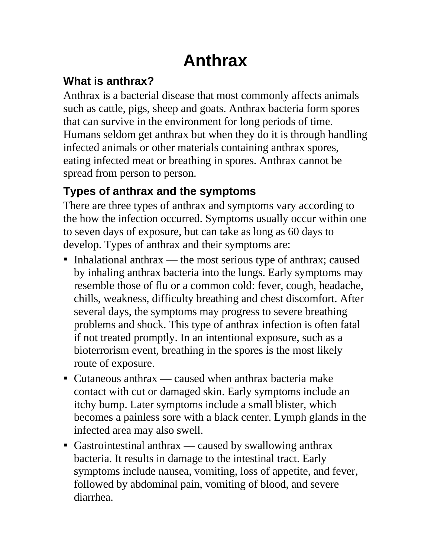# **Anthrax**

#### **What is anthrax?**

Anthrax is a bacterial disease that most commonly affects animals such as cattle, pigs, sheep and goats. Anthrax bacteria form spores that can survive in the environment for long periods of time. Humans seldom get anthrax but when they do it is through handling infected animals or other materials containing anthrax spores, eating infected meat or breathing in spores. Anthrax cannot be spread from person to person.

### **Types of anthrax and the symptoms**

There are three types of anthrax and symptoms vary according to the how the infection occurred. Symptoms usually occur within one to seven days of exposure, but can take as long as 60 days to develop. Types of anthrax and their symptoms are:

- $\blacksquare$  Inhalational anthrax the most serious type of anthrax; caused by inhaling anthrax bacteria into the lungs. Early symptoms may resemble those of flu or a common cold: fever, cough, headache, chills, weakness, difficulty breathing and chest discomfort. After several days, the symptoms may progress to severe breathing problems and shock. This type of anthrax infection is often fatal if not treated promptly. In an intentional exposure, such as a bioterrorism event, breathing in the spores is the most likely route of exposure.
- Cutaneous anthrax caused when anthrax bacteria make contact with cut or damaged skin. Early symptoms include an itchy bump. Later symptoms include a small blister, which becomes a painless sore with a black center. Lymph glands in the infected area may also swell.
- Gastrointestinal anthrax caused by swallowing anthrax bacteria. It results in damage to the intestinal tract. Early symptoms include nausea, vomiting, loss of appetite, and fever, followed by abdominal pain, vomiting of blood, and severe diarrhea.